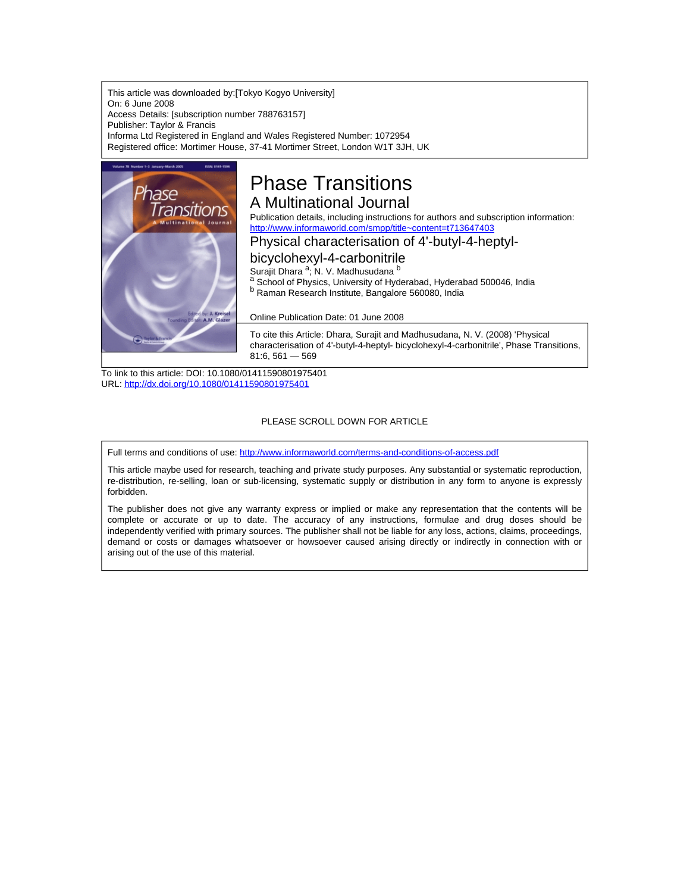This article was downloaded by:[Tokyo Kogyo University] On: 6 June 2008 Access Details: [subscription number 788763157] Publisher: Taylor & Francis Informa Ltd Registered in England and Wales Registered Number: 1072954 Registered office: Mortimer House, 37-41 Mortimer Street, London W1T 3JH, UK



# Phase Transitions A Multinational Journal

Publication details, including instructions for authors and subscription information: <http://www.informaworld.com/smpp/title~content=t713647403>

### Physical characterisation of 4'-butyl-4-heptyl-

# bicyclohexyl-4-carbonitrile

Surajit Dhara <sup>a</sup>; N. V. Madhusudana <sup>b</sup>

a School of Physics, University of Hyderabad, Hyderabad 500046, India <sup>b</sup> Raman Research Institute, Bangalore 560080, India

Online Publication Date: 01 June 2008

To cite this Article: Dhara, Surajit and Madhusudana, N. V. (2008) 'Physical characterisation of 4'-butyl-4-heptyl- bicyclohexyl-4-carbonitrile', Phase Transitions, 81:6, 561 — 569

To link to this article: DOI: 10.1080/01411590801975401 URL: <http://dx.doi.org/10.1080/01411590801975401>

### PLEASE SCROLL DOWN FOR ARTICLE

Full terms and conditions of use: <http://www.informaworld.com/terms-and-conditions-of-access.pdf>

This article maybe used for research, teaching and private study purposes. Any substantial or systematic reproduction, re-distribution, re-selling, loan or sub-licensing, systematic supply or distribution in any form to anyone is expressly forbidden.

The publisher does not give any warranty express or implied or make any representation that the contents will be complete or accurate or up to date. The accuracy of any instructions, formulae and drug doses should be independently verified with primary sources. The publisher shall not be liable for any loss, actions, claims, proceedings, demand or costs or damages whatsoever or howsoever caused arising directly or indirectly in connection with or arising out of the use of this material.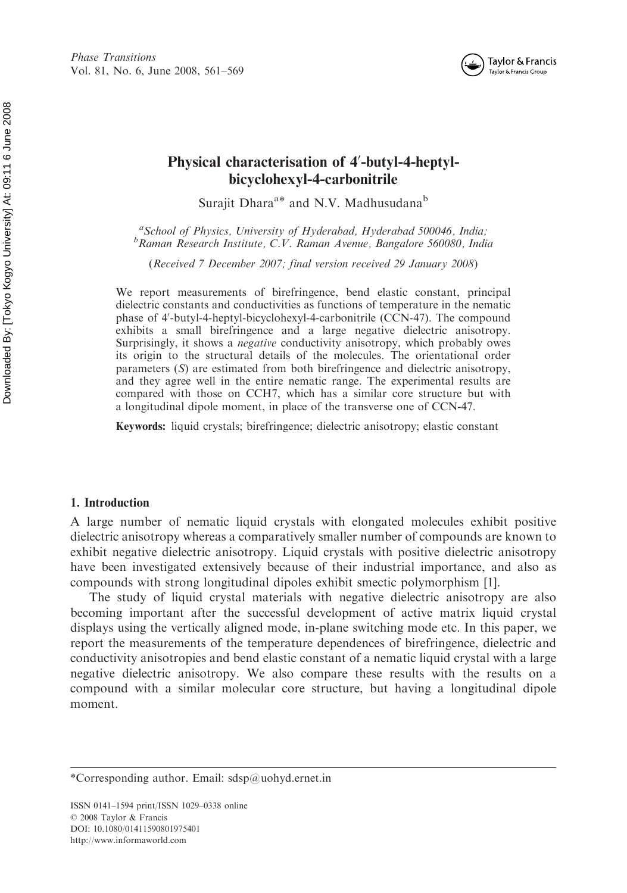

## Physical characterisation of 4'-butyl-4-heptylbicyclohexyl-4-carbonitrile

Surajit Dhara<sup>a\*</sup> and N.V. Madhusudana<sup>b</sup>

<sup>a</sup> School of Physics, University of Hyderabad, Hyderabad 500046, India;<br><sup>b</sup> Raman Research Institute C.V. Raman Ayanya, Bangalore 560080, India;  ${}^b$ Raman Research Institute, C.V. Raman Avenue, Bangalore 560080, India

(Received 7 December 2007; final version received 29 January 2008)

We report measurements of birefringence, bend elastic constant, principal dielectric constants and conductivities as functions of temperature in the nematic phase of 4'-butyl-4-heptyl-bicyclohexyl-4-carbonitrile (CCN-47). The compound exhibits a small birefringence and a large negative dielectric anisotropy. Surprisingly, it shows a *negative* conductivity anisotropy, which probably owes its origin to the structural details of the molecules. The orientational order parameters (S) are estimated from both birefringence and dielectric anisotropy, and they agree well in the entire nematic range. The experimental results are compared with those on CCH7, which has a similar core structure but with a longitudinal dipole moment, in place of the transverse one of CCN-47.

Keywords: liquid crystals; birefringence; dielectric anisotropy; elastic constant

#### 1. Introduction

A large number of nematic liquid crystals with elongated molecules exhibit positive dielectric anisotropy whereas a comparatively smaller number of compounds are known to exhibit negative dielectric anisotropy. Liquid crystals with positive dielectric anisotropy have been investigated extensively because of their industrial importance, and also as compounds with strong longitudinal dipoles exhibit smectic polymorphism [1].

The study of liquid crystal materials with negative dielectric anisotropy are also becoming important after the successful development of active matrix liquid crystal displays using the vertically aligned mode, in-plane switching mode etc. In this paper, we report the measurements of the temperature dependences of birefringence, dielectric and conductivity anisotropies and bend elastic constant of a nematic liquid crystal with a large negative dielectric anisotropy. We also compare these results with the results on a compound with a similar molecular core structure, but having a longitudinal dipole moment.

<sup>\*</sup>Corresponding author. Email: sdsp@uohyd.ernet.in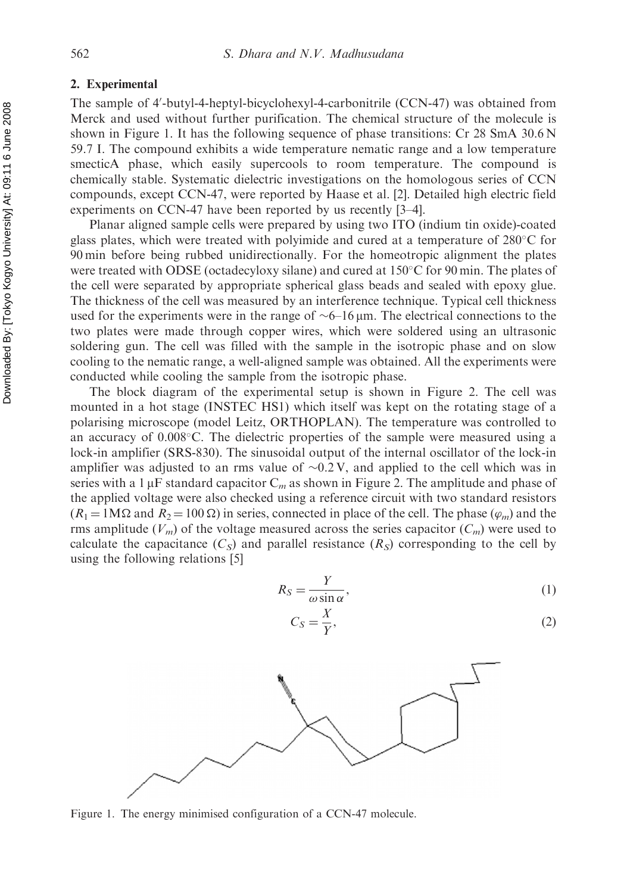#### 2. Experimental

The sample of 4'-butyl-4-heptyl-bicyclohexyl-4-carbonitrile (CCN-47) was obtained from Merck and used without further purification. The chemical structure of the molecule is shown in Figure 1. It has the following sequence of phase transitions: Cr 28 SmA 30.6 N 59.7 I. The compound exhibits a wide temperature nematic range and a low temperature smecticA phase, which easily supercools to room temperature. The compound is chemically stable. Systematic dielectric investigations on the homologous series of CCN compounds, except CCN-47, were reported by Haase et al. [2]. Detailed high electric field experiments on CCN-47 have been reported by us recently [3–4].

Planar aligned sample cells were prepared by using two ITO (indium tin oxide)-coated glass plates, which were treated with polyimide and cured at a temperature of  $280^{\circ}$ C for 90 min before being rubbed unidirectionally. For the homeotropic alignment the plates were treated with ODSE (octadecyloxy silane) and cured at  $150^{\circ}$ C for 90 min. The plates of the cell were separated by appropriate spherical glass beads and sealed with epoxy glue. The thickness of the cell was measured by an interference technique. Typical cell thickness used for the experiments were in the range of  $\sim$  6–16  $\mu$ m. The electrical connections to the two plates were made through copper wires, which were soldered using an ultrasonic soldering gun. The cell was filled with the sample in the isotropic phase and on slow cooling to the nematic range, a well-aligned sample was obtained. All the experiments were conducted while cooling the sample from the isotropic phase.

The block diagram of the experimental setup is shown in Figure 2. The cell was mounted in a hot stage (INSTEC HS1) which itself was kept on the rotating stage of a polarising microscope (model Leitz, ORTHOPLAN). The temperature was controlled to an accuracy of  $0.008^{\circ}$ C. The dielectric properties of the sample were measured using a lock-in amplifier (SRS-830). The sinusoidal output of the internal oscillator of the lock-in amplifier was adjusted to an rms value of  $\sim 0.2 \text{ V}$ , and applied to the cell which was in series with a 1  $\mu$ F standard capacitor C<sub>m</sub> as shown in Figure 2. The amplitude and phase of the applied voltage were also checked using a reference circuit with two standard resistors  $(R_1 = 1\text{M}\Omega$  and  $R_2 = 100 \Omega$ ) in series, connected in place of the cell. The phase  $(\varphi_m)$  and the rms amplitude  $(V_m)$  of the voltage measured across the series capacitor  $(C_m)$  were used to calculate the capacitance  $(C<sub>S</sub>)$  and parallel resistance  $(R<sub>S</sub>)$  corresponding to the cell by using the following relations [5]

 $C_S = \frac{X}{V}$ 

$$
R_S = \frac{Y}{\omega \sin \alpha},\tag{1}
$$

$$
C_S = \frac{\alpha}{Y},
$$

Figure 1. The energy minimised configuration of a CCN-47 molecule.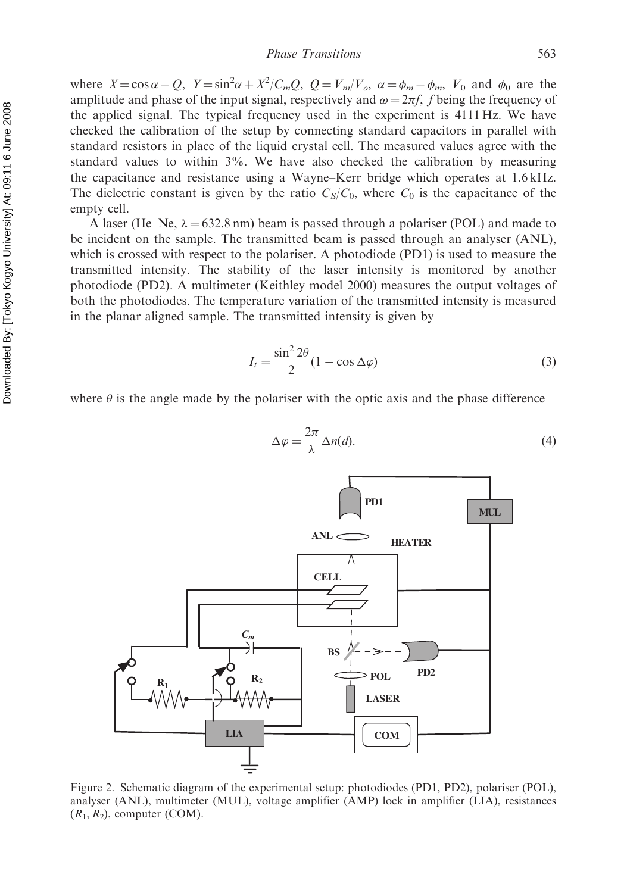where  $X = \cos \alpha - Q$ ,  $Y = \sin^2 \alpha + X^2 / C_m Q$ ,  $Q = V_m / V_o$ ,  $\alpha = \phi_m - \phi_m$ ,  $V_0$  and  $\phi_0$  are the amplitude and phase of the input signal, respectively and  $\omega = 2\pi f$ , f being the frequency of the applied signal. The typical frequency used in the experiment is 4111 Hz. We have checked the calibration of the setup by connecting standard capacitors in parallel with standard resistors in place of the liquid crystal cell. The measured values agree with the standard values to within 3%. We have also checked the calibration by measuring the capacitance and resistance using a Wayne–Kerr bridge which operates at 1.6 kHz. The dielectric constant is given by the ratio  $C_S/C_0$ , where  $C_0$  is the capacitance of the empty cell.

A laser (He–Ne,  $\lambda = 632.8$  nm) beam is passed through a polariser (POL) and made to be incident on the sample. The transmitted beam is passed through an analyser (ANL), which is crossed with respect to the polariser. A photodiode (PD1) is used to measure the transmitted intensity. The stability of the laser intensity is monitored by another photodiode (PD2). A multimeter (Keithley model 2000) measures the output voltages of both the photodiodes. The temperature variation of the transmitted intensity is measured in the planar aligned sample. The transmitted intensity is given by

$$
I_t = \frac{\sin^2 2\theta}{2} (1 - \cos \Delta \varphi)
$$
 (3)

where  $\theta$  is the angle made by the polariser with the optic axis and the phase difference



Figure 2. Schematic diagram of the experimental setup: photodiodes (PD1, PD2), polariser (POL), analyser (ANL), multimeter (MUL), voltage amplifier (AMP) lock in amplifier (LIA), resistances  $(R_1, R_2)$ , computer (COM).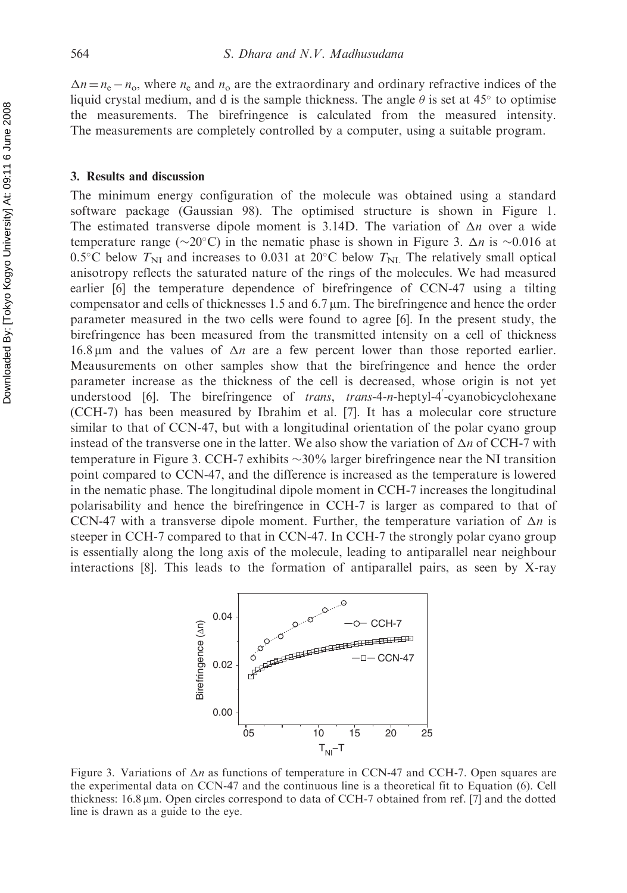$\Delta n = n_e - n_o$ , where  $n_e$  and  $n_o$  are the extraordinary and ordinary refractive indices of the liquid crystal medium, and d is the sample thickness. The angle  $\theta$  is set at 45 $\degree$  to optimise the measurements. The birefringence is calculated from the measured intensity. The measurements are completely controlled by a computer, using a suitable program.

#### 3. Results and discussion

The minimum energy configuration of the molecule was obtained using a standard software package (Gaussian 98). The optimised structure is shown in Figure 1. The estimated transverse dipole moment is 3.14D. The variation of  $\Delta n$  over a wide temperature range ( $\sim$ 20°C) in the nematic phase is shown in Figure 3.  $\Delta n$  is  $\sim$ 0.016 at 0.5°C below  $T_{\text{NI}}$  and increases to 0.031 at 20°C below  $T_{\text{NI}}$ . The relatively small optical anisotropy reflects the saturated nature of the rings of the molecules. We had measured earlier [6] the temperature dependence of birefringence of CCN-47 using a tilting compensator and cells of thicknesses 1.5 and 6.7  $\mu$ m. The birefringence and hence the order parameter measured in the two cells were found to agree [6]. In the present study, the birefringence has been measured from the transmitted intensity on a cell of thickness 16.8  $\mu$ m and the values of  $\Delta n$  are a few percent lower than those reported earlier. Meausurements on other samples show that the birefringence and hence the order parameter increase as the thickness of the cell is decreased, whose origin is not yet understood [6]. The birefringence of *trans*, *trans*-4-n-heptyl-4'-cyanobicyclohexane (CCH-7) has been measured by Ibrahim et al. [7]. It has a molecular core structure similar to that of CCN-47, but with a longitudinal orientation of the polar cyano group instead of the transverse one in the latter. We also show the variation of  $\Delta n$  of CCH-7 with temperature in Figure 3. CCH-7 exhibits  $\sim$ 30% larger birefringence near the NI transition point compared to CCN-47, and the difference is increased as the temperature is lowered in the nematic phase. The longitudinal dipole moment in CCH-7 increases the longitudinal polarisability and hence the birefringence in CCH-7 is larger as compared to that of CCN-47 with a transverse dipole moment. Further, the temperature variation of  $\Delta n$  is steeper in CCH-7 compared to that in CCN-47. In CCH-7 the strongly polar cyano group is essentially along the long axis of the molecule, leading to antiparallel near neighbour interactions [8]. This leads to the formation of antiparallel pairs, as seen by X-ray



Figure 3. Variations of  $\Delta n$  as functions of temperature in CCN-47 and CCH-7. Open squares are the experimental data on CCN-47 and the continuous line is a theoretical fit to Equation (6). Cell thickness: 16.8 mm. Open circles correspond to data of CCH-7 obtained from ref. [7] and the dotted line is drawn as a guide to the eye.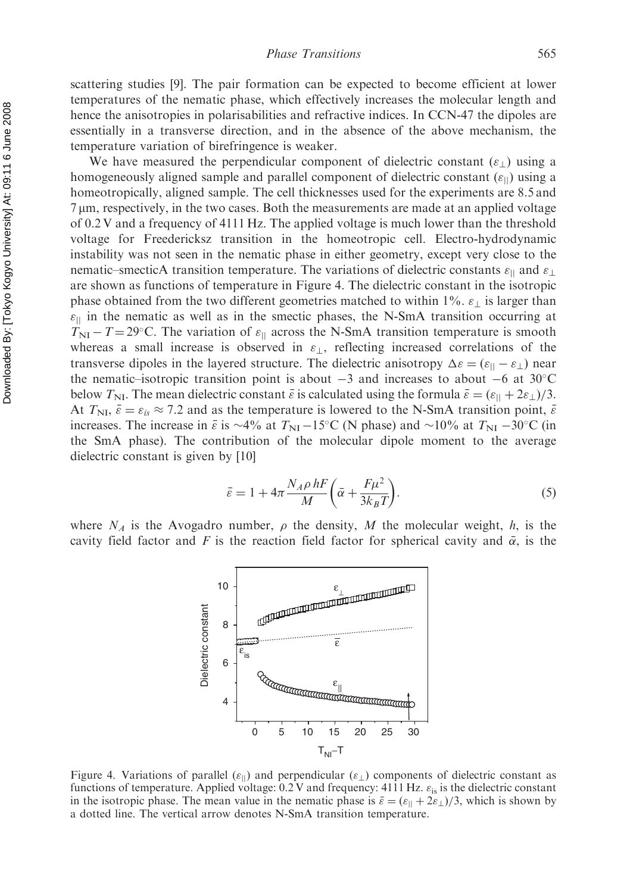scattering studies [9]. The pair formation can be expected to become efficient at lower temperatures of the nematic phase, which effectively increases the molecular length and hence the anisotropies in polarisabilities and refractive indices. In CCN-47 the dipoles are essentially in a transverse direction, and in the absence of the above mechanism, the temperature variation of birefringence is weaker.

We have measured the perpendicular component of dielectric constant  $(\varepsilon_+)$  using a homogeneously aligned sample and parallel component of dielectric constant  $(\varepsilon_{\parallel})$  using a homeotropically, aligned sample. The cell thicknesses used for the experiments are 8.5 and 7 mm, respectively, in the two cases. Both the measurements are made at an applied voltage of 0.2 V and a frequency of 4111 Hz. The applied voltage is much lower than the threshold voltage for Freedericksz transition in the homeotropic cell. Electro-hydrodynamic instability was not seen in the nematic phase in either geometry, except very close to the nematic–smecticA transition temperature. The variations of dielectric constants  $\varepsilon_{\parallel}$  and  $\varepsilon_{\perp}$ are shown as functions of temperature in Figure 4. The dielectric constant in the isotropic phase obtained from the two different geometries matched to within 1%.  $\varepsilon_{\perp}$  is larger than  $\varepsilon_{\parallel}$  in the nematic as well as in the smectic phases, the N-SmA transition occurring at  $T_{\text{NI}} - T = 29^{\circ}$ C. The variation of  $\varepsilon_{\parallel}$  across the N-SmA transition temperature is smooth whereas a small increase is observed in  $\varepsilon_{\perp}$ , reflecting increased correlations of the transverse dipoles in the layered structure. The dielectric anisotropy  $\Delta \varepsilon = (\varepsilon_{||} - \varepsilon_{\perp})$  near the nematic–isotropic transition point is about  $-3$  and increases to about  $-6$  at 30°C below  $T_{\text{NI}}$ . The mean dielectric constant  $\bar{\varepsilon}$  is calculated using the formula  $\bar{\varepsilon} = (\varepsilon_{\parallel} + 2\varepsilon_{\perp})/3$ . At  $T_{\text{NI}}, \bar{\varepsilon} = \varepsilon_{is} \approx 7.2$  and as the temperature is lowered to the N-SmA transition point,  $\bar{\varepsilon}$ increases. The increase in  $\bar{\varepsilon}$  is  $\sim$ 4% at T<sub>NI</sub> -15°C (N phase) and  $\sim$ 10% at T<sub>NI</sub> -30°C (in the SmA phase). The contribution of the molecular dipole moment to the average dielectric constant is given by [10]

$$
\bar{\varepsilon} = 1 + 4\pi \frac{N_A \rho hF}{M} \left( \bar{\alpha} + \frac{F\mu^2}{3k_B T} \right).
$$
\n(5)

where  $N_A$  is the Avogadro number,  $\rho$  the density, M the molecular weight, h, is the cavity field factor and F is the reaction field factor for spherical cavity and  $\bar{\alpha}$ , is the



Figure 4. Variations of parallel  $(\varepsilon_{\parallel})$  and perpendicular  $(\varepsilon_{\perp})$  components of dielectric constant as functions of temperature. Applied voltage:  $0.2$  V and frequency: 4111 Hz.  $\varepsilon_{is}$  is the dielectric constant in the isotropic phase. The mean value in the nematic phase is  $\bar{\varepsilon} = (\varepsilon_{\parallel} + 2\varepsilon_{\perp})/3$ , which is shown by a dotted line. The vertical arrow denotes N-SmA transition temperature.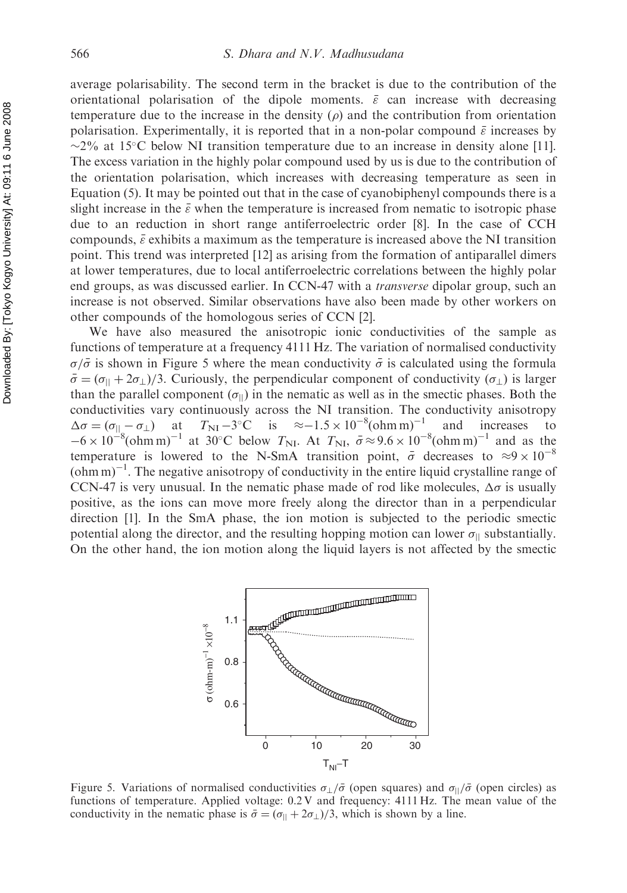average polarisability. The second term in the bracket is due to the contribution of the orientational polarisation of the dipole moments.  $\bar{\varepsilon}$  can increase with decreasing temperature due to the increase in the density  $(\rho)$  and the contribution from orientation polarisation. Experimentally, it is reported that in a non-polar compound  $\bar{\varepsilon}$  increases by  $\sim$ 2% at 15°C below NI transition temperature due to an increase in density alone [11]. The excess variation in the highly polar compound used by us is due to the contribution of the orientation polarisation, which increases with decreasing temperature as seen in Equation (5). It may be pointed out that in the case of cyanobiphenyl compounds there is a slight increase in the  $\bar{\varepsilon}$  when the temperature is increased from nematic to isotropic phase due to an reduction in short range antiferroelectric order [8]. In the case of CCH compounds,  $\bar{\varepsilon}$  exhibits a maximum as the temperature is increased above the NI transition point. This trend was interpreted [12] as arising from the formation of antiparallel dimers at lower temperatures, due to local antiferroelectric correlations between the highly polar end groups, as was discussed earlier. In CCN-47 with a *transverse* dipolar group, such an increase is not observed. Similar observations have also been made by other workers on other compounds of the homologous series of CCN [2].

We have also measured the anisotropic ionic conductivities of the sample as functions of temperature at a frequency 4111 Hz. The variation of normalised conductivity  $\sigma/\bar{\sigma}$  is shown in Figure 5 where the mean conductivity  $\bar{\sigma}$  is calculated using the formula  $\bar{\sigma} = (\sigma_{\parallel} + 2\sigma_{\perp})/3$ . Curiously, the perpendicular component of conductivity ( $\sigma_{\perp}$ ) is larger than the parallel component  $(\sigma_{\parallel})$  in the nematic as well as in the smectic phases. Both the conductivities vary continuously across the NI transition. The conductivity anisotropy  $\Delta \sigma = (\sigma_{||} - \sigma_{\perp})$  at  $\sigma = (\sigma_{||} - \sigma_{\perp})$  at  $T_{\text{NI}} - 3^{\circ}\text{C}$  is  $\approx -1.5 \times 10^{-8} (\text{ohm m})^{-1}$  and increases to  $-6 \times 10^{-8} (\text{ohm m})^{-1}$  at 30°C below  $T_{\text{NL}}$ . At  $T_{\text{NL}}$ ,  $\bar{\sigma} \approx 9.6 \times 10^{-8} (\text{ohm m})^{-1}$  and as the temperature is lowered to the N-SmA transition point,  $\bar{\sigma}$  decreases to  $\approx 9 \times 10^{-8}$  $(\text{ohm}\,\text{m})^{-1}$ . The negative anisotropy of conductivity in the entire liquid crystalline range of CCN-47 is very unusual. In the nematic phase made of rod like molecules,  $\Delta \sigma$  is usually positive, as the ions can move more freely along the director than in a perpendicular direction [1]. In the SmA phase, the ion motion is subjected to the periodic smectic potential along the director, and the resulting hopping motion can lower  $\sigma_{\parallel}$  substantially. On the other hand, the ion motion along the liquid layers is not affected by the smectic



Figure 5. Variations of normalised conductivities  $\sigma_{\perp}/\bar{\sigma}$  (open squares) and  $\sigma_{\parallel}/\bar{\sigma}$  (open circles) as functions of temperature. Applied voltage: 0.2 V and frequency: 4111 Hz. The mean value of the conductivity in the nematic phase is  $\bar{\sigma} = (\sigma_{\parallel} + 2\sigma_{\perp})/3$ , which is shown by a line.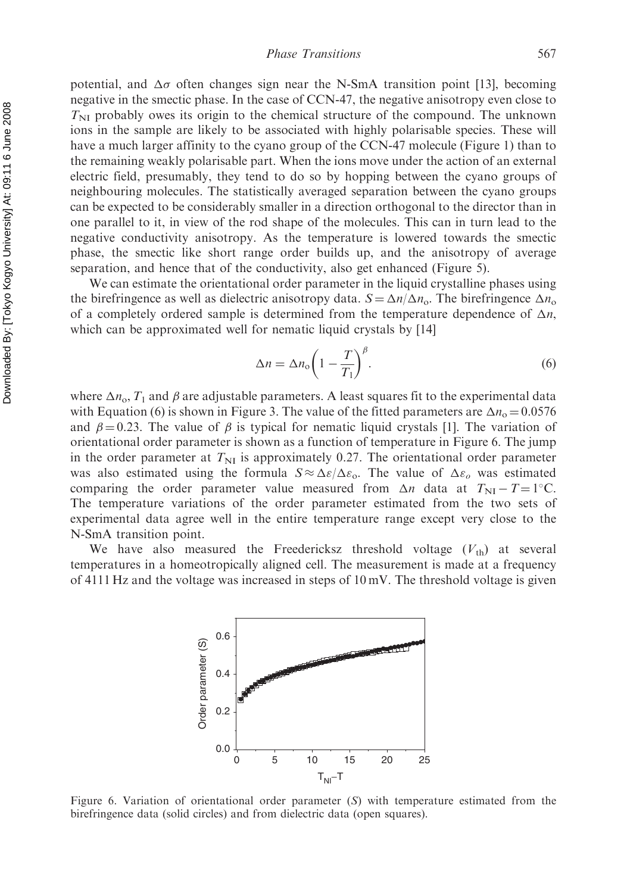potential, and  $\Delta \sigma$  often changes sign near the N-SmA transition point [13], becoming negative in the smectic phase. In the case of CCN-47, the negative anisotropy even close to  $T<sub>NI</sub>$  probably owes its origin to the chemical structure of the compound. The unknown ions in the sample are likely to be associated with highly polarisable species. These will have a much larger affinity to the cyano group of the CCN-47 molecule (Figure 1) than to the remaining weakly polarisable part. When the ions move under the action of an external electric field, presumably, they tend to do so by hopping between the cyano groups of neighbouring molecules. The statistically averaged separation between the cyano groups can be expected to be considerably smaller in a direction orthogonal to the director than in one parallel to it, in view of the rod shape of the molecules. This can in turn lead to the negative conductivity anisotropy. As the temperature is lowered towards the smectic phase, the smectic like short range order builds up, and the anisotropy of average separation, and hence that of the conductivity, also get enhanced (Figure 5).

We can estimate the orientational order parameter in the liquid crystalline phases using the birefringence as well as dielectric anisotropy data.  $S = \Delta n / \Delta n_o$ . The birefringence  $\Delta n_o$ of a completely ordered sample is determined from the temperature dependence of  $\Delta n$ , which can be approximated well for nematic liquid crystals by [14]

$$
\Delta n = \Delta n_{\rm o} \bigg( 1 - \frac{T}{T_1} \bigg)^{\beta} . \tag{6}
$$

where  $\Delta n_{\rm o}$ ,  $T_1$  and  $\beta$  are adjustable parameters. A least squares fit to the experimental data with Equation (6) is shown in Figure 3. The value of the fitted parameters are  $\Delta n_0 = 0.0576$ and  $\beta = 0.23$ . The value of  $\beta$  is typical for nematic liquid crystals [1]. The variation of orientational order parameter is shown as a function of temperature in Figure 6. The jump in the order parameter at  $T_{\text{NI}}$  is approximately 0.27. The orientational order parameter was also estimated using the formula  $S \approx \Delta \varepsilon / \Delta \varepsilon_0$ . The value of  $\Delta \varepsilon_0$  was estimated comparing the order parameter value measured from  $\Delta n$  data at  $T_{\text{NI}} - T = 1^{\circ} \text{C}$ . The temperature variations of the order parameter estimated from the two sets of experimental data agree well in the entire temperature range except very close to the N-SmA transition point.

We have also measured the Freedericksz threshold voltage  $(V_{th})$  at several temperatures in a homeotropically aligned cell. The measurement is made at a frequency of 4111 Hz and the voltage was increased in steps of  $10 \text{ mV}$ . The threshold voltage is given



Figure 6. Variation of orientational order parameter  $(S)$  with temperature estimated from the birefringence data (solid circles) and from dielectric data (open squares).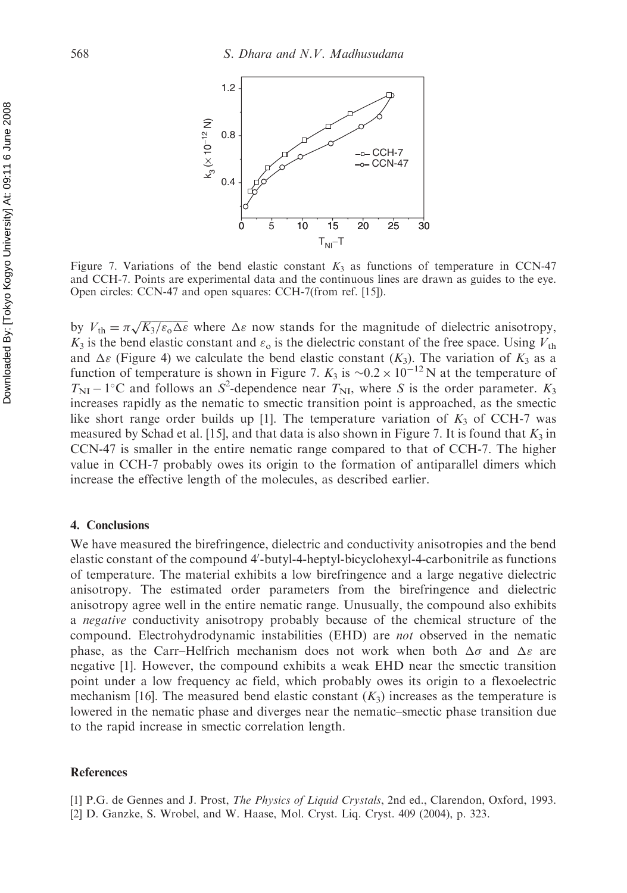

Figure 7. Variations of the bend elastic constant  $K_3$  as functions of temperature in CCN-47 and CCH-7. Points are experimental data and the continuous lines are drawn as guides to the eye. Open circles: CCN-47 and open squares: CCH-7(from ref. [15]).

by  $V_{\text{th}} = \pi \sqrt{K_3/\varepsilon_0 \Delta \varepsilon}$  where  $\Delta \varepsilon$  now stands for the magnitude of dielectric anisotropy,  $K_3$  is the bend elastic constant and  $\varepsilon_0$  is the dielectric constant of the free space. Using  $V_{\text{th}}$ and  $\Delta \varepsilon$  (Figure 4) we calculate the bend elastic constant  $(K_3)$ . The variation of  $K_3$  as a function of temperature is shown in Figure 7.  $K_3$  is  $\sim 0.2 \times 10^{-12}$  N at the temperature of  $T_{\text{NI}} - 1^{\circ}\text{C}$  and follows an  $S^2$ -dependence near  $T_{\text{NI}}$ , where S is the order parameter.  $K_3$ increases rapidly as the nematic to smectic transition point is approached, as the smectic like short range order builds up [1]. The temperature variation of  $K_3$  of CCH-7 was measured by Schad et al. [15], and that data is also shown in Figure 7. It is found that  $K_3$  in CCN-47 is smaller in the entire nematic range compared to that of CCH-7. The higher value in CCH-7 probably owes its origin to the formation of antiparallel dimers which increase the effective length of the molecules, as described earlier.

#### 4. Conclusions

We have measured the birefringence, dielectric and conductivity anisotropies and the bend elastic constant of the compound 4'-butyl-4-heptyl-bicyclohexyl-4-carbonitrile as functions of temperature. The material exhibits a low birefringence and a large negative dielectric anisotropy. The estimated order parameters from the birefringence and dielectric anisotropy agree well in the entire nematic range. Unusually, the compound also exhibits a negative conductivity anisotropy probably because of the chemical structure of the compound. Electrohydrodynamic instabilities (EHD) are not observed in the nematic phase, as the Carr–Helfrich mechanism does not work when both  $\Delta\sigma$  and  $\Delta\varepsilon$  are negative [1]. However, the compound exhibits a weak EHD near the smectic transition point under a low frequency ac field, which probably owes its origin to a flexoelectric mechanism [16]. The measured bend elastic constant  $(K_3)$  increases as the temperature is lowered in the nematic phase and diverges near the nematic–smectic phase transition due to the rapid increase in smectic correlation length.

#### References

- [1] P.G. de Gennes and J. Prost, The Physics of Liquid Crystals, 2nd ed., Clarendon, Oxford, 1993.
- [2] D. Ganzke, S. Wrobel, and W. Haase, Mol. Cryst. Liq. Cryst. 409 (2004), p. 323.